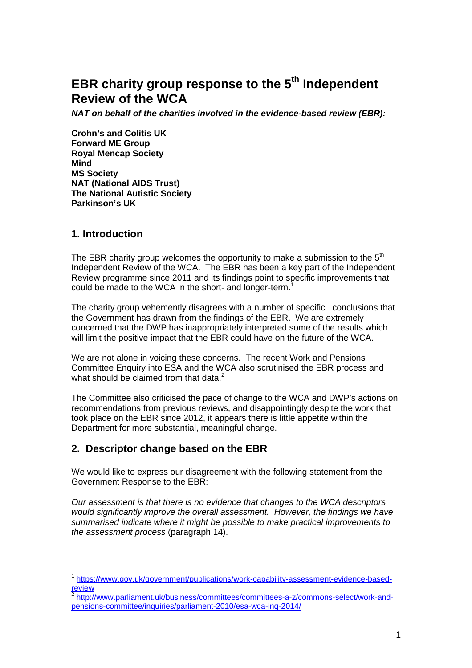# **EBR charity group response to the 5th Independent Review of the WCA**

**NAT on behalf of the charities involved in the evidence-based review (EBR):** 

**Crohn's and Colitis UK Forward ME Group Royal Mencap Society Mind MS Society NAT (National AIDS Trust) The National Autistic Society Parkinson's UK** 

### **1. Introduction**

 $\overline{\phantom{a}}$ 

The EBR charity group welcomes the opportunity to make a submission to the  $5<sup>th</sup>$ Independent Review of the WCA. The EBR has been a key part of the Independent Review programme since 2011 and its findings point to specific improvements that could be made to the WCA in the short- and longer-term.<sup>1</sup>

The charity group vehemently disagrees with a number of specific conclusions that the Government has drawn from the findings of the EBR. We are extremely concerned that the DWP has inappropriately interpreted some of the results which will limit the positive impact that the EBR could have on the future of the WCA.

We are not alone in voicing these concerns. The recent Work and Pensions Committee Enquiry into ESA and the WCA also scrutinised the EBR process and what should be claimed from that data.<sup>2</sup>

The Committee also criticised the pace of change to the WCA and DWP's actions on recommendations from previous reviews, and disappointingly despite the work that took place on the EBR since 2012, it appears there is little appetite within the Department for more substantial, meaningful change.

## **2. Descriptor change based on the EBR**

We would like to express our disagreement with the following statement from the Government Response to the EBR:

Our assessment is that there is no evidence that changes to the WCA descriptors would significantly improve the overall assessment. However, the findings we have summarised indicate where it might be possible to make practical improvements to the assessment process (paragraph 14).

<sup>1</sup> https://www.gov.uk/government/publications/work-capability-assessment-evidence-basedreview

<sup>&</sup>lt;sup>2</sup> http://www.parliament.uk/business/committees/committees-a-z/commons-select/work-andpensions-committee/inquiries/parliament-2010/esa-wca-inq-2014/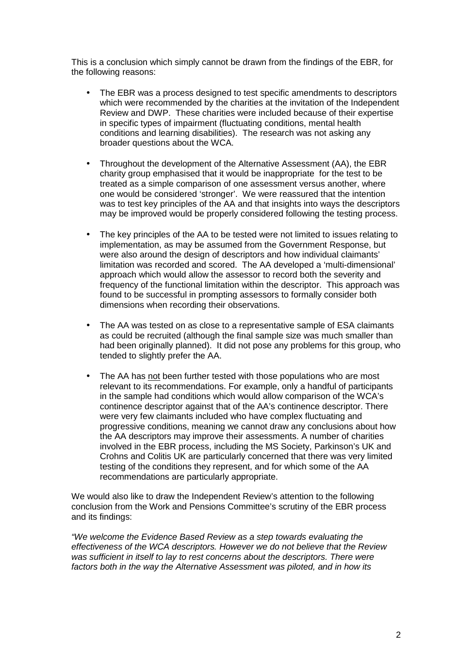This is a conclusion which simply cannot be drawn from the findings of the EBR, for the following reasons:

- The EBR was a process designed to test specific amendments to descriptors which were recommended by the charities at the invitation of the Independent Review and DWP. These charities were included because of their expertise in specific types of impairment (fluctuating conditions, mental health conditions and learning disabilities). The research was not asking any broader questions about the WCA.
- Throughout the development of the Alternative Assessment (AA), the EBR charity group emphasised that it would be inappropriate for the test to be treated as a simple comparison of one assessment versus another, where one would be considered 'stronger'. We were reassured that the intention was to test key principles of the AA and that insights into ways the descriptors may be improved would be properly considered following the testing process.
- The key principles of the AA to be tested were not limited to issues relating to implementation, as may be assumed from the Government Response, but were also around the design of descriptors and how individual claimants' limitation was recorded and scored. The AA developed a 'multi-dimensional' approach which would allow the assessor to record both the severity and frequency of the functional limitation within the descriptor. This approach was found to be successful in prompting assessors to formally consider both dimensions when recording their observations.
- The AA was tested on as close to a representative sample of ESA claimants as could be recruited (although the final sample size was much smaller than had been originally planned). It did not pose any problems for this group, who tended to slightly prefer the AA.
- The AA has not been further tested with those populations who are most relevant to its recommendations. For example, only a handful of participants in the sample had conditions which would allow comparison of the WCA's continence descriptor against that of the AA's continence descriptor. There were very few claimants included who have complex fluctuating and progressive conditions, meaning we cannot draw any conclusions about how the AA descriptors may improve their assessments. A number of charities involved in the EBR process, including the MS Society, Parkinson's UK and Crohns and Colitis UK are particularly concerned that there was very limited testing of the conditions they represent, and for which some of the AA recommendations are particularly appropriate.

We would also like to draw the Independent Review's attention to the following conclusion from the Work and Pensions Committee's scrutiny of the EBR process and its findings:

"We welcome the Evidence Based Review as a step towards evaluating the effectiveness of the WCA descriptors. However we do not believe that the Review was sufficient in itself to lay to rest concerns about the descriptors. There were factors both in the way the Alternative Assessment was piloted, and in how its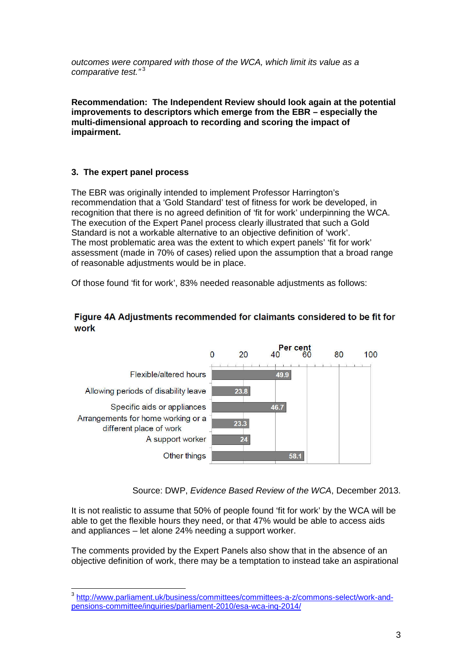outcomes were compared with those of the WCA, which limit its value as a comparative test."<sup>3</sup>

**Recommendation: The Independent Review should look again at the potential improvements to descriptors which emerge from the EBR – especially the multi-dimensional approach to recording and scoring the impact of impairment.** 

### **3. The expert panel process**

The EBR was originally intended to implement Professor Harrington's recommendation that a 'Gold Standard' test of fitness for work be developed, in recognition that there is no agreed definition of 'fit for work' underpinning the WCA. The execution of the Expert Panel process clearly illustrated that such a Gold Standard is not a workable alternative to an objective definition of 'work'. The most problematic area was the extent to which expert panels' 'fit for work' assessment (made in 70% of cases) relied upon the assumption that a broad range of reasonable adjustments would be in place.

Of those found 'fit for work', 83% needed reasonable adjustments as follows:

#### Figure 4A Adjustments recommended for claimants considered to be fit for work



Source: DWP, Evidence Based Review of the WCA, December 2013.

It is not realistic to assume that 50% of people found 'fit for work' by the WCA will be able to get the flexible hours they need, or that 47% would be able to access aids and appliances – let alone 24% needing a support worker.

The comments provided by the Expert Panels also show that in the absence of an objective definition of work, there may be a temptation to instead take an aspirational

 3 http://www.parliament.uk/business/committees/committees-a-z/commons-select/work-andpensions-committee/inquiries/parliament-2010/esa-wca-inq-2014/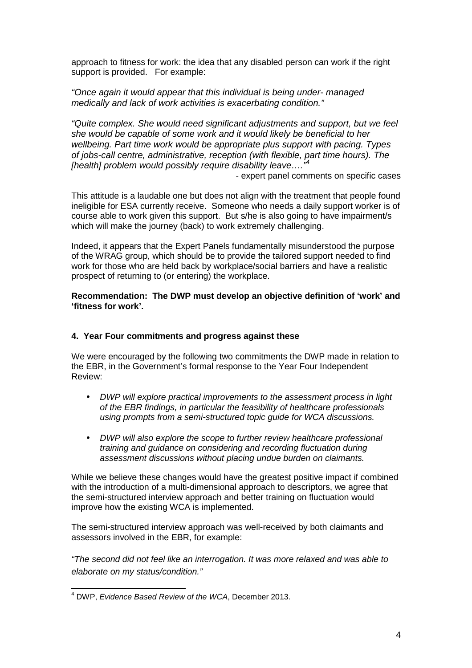approach to fitness for work: the idea that any disabled person can work if the right support is provided. For example:

"Once again it would appear that this individual is being under- managed medically and lack of work activities is exacerbating condition."

"Quite complex. She would need significant adjustments and support, but we feel she would be capable of some work and it would likely be beneficial to her wellbeing. Part time work would be appropriate plus support with pacing. Types of jobs-call centre, administrative, reception (with flexible, part time hours). The [health] problem would possibly require disability leave....

- expert panel comments on specific cases

This attitude is a laudable one but does not align with the treatment that people found ineligible for ESA currently receive. Someone who needs a daily support worker is of course able to work given this support. But s/he is also going to have impairment/s which will make the journey (back) to work extremely challenging.

Indeed, it appears that the Expert Panels fundamentally misunderstood the purpose of the WRAG group, which should be to provide the tailored support needed to find work for those who are held back by workplace/social barriers and have a realistic prospect of returning to (or entering) the workplace.

**Recommendation: The DWP must develop an objective definition of 'work' and 'fitness for work'.** 

#### **4. Year Four commitments and progress against these**

We were encouraged by the following two commitments the DWP made in relation to the EBR, in the Government's formal response to the Year Four Independent Review:

- DWP will explore practical improvements to the assessment process in light of the EBR findings, in particular the feasibility of healthcare professionals using prompts from a semi-structured topic guide for WCA discussions.
- DWP will also explore the scope to further review healthcare professional training and guidance on considering and recording fluctuation during assessment discussions without placing undue burden on claimants.

While we believe these changes would have the greatest positive impact if combined with the introduction of a multi-dimensional approach to descriptors, we agree that the semi-structured interview approach and better training on fluctuation would improve how the existing WCA is implemented.

The semi-structured interview approach was well-received by both claimants and assessors involved in the EBR, for example:

"The second did not feel like an interrogation. It was more relaxed and was able to elaborate on my status/condition."

 4 DWP, Evidence Based Review of the WCA, December 2013.